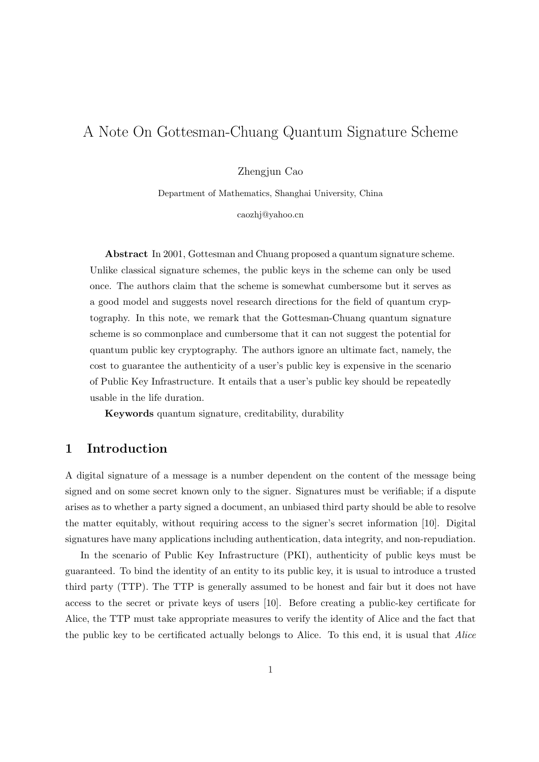# A Note On Gottesman-Chuang Quantum Signature Scheme

Zhengjun Cao

Department of Mathematics, Shanghai University, China

caozhj@yahoo.cn

Abstract In 2001, Gottesman and Chuang proposed a quantum signature scheme. Unlike classical signature schemes, the public keys in the scheme can only be used once. The authors claim that the scheme is somewhat cumbersome but it serves as a good model and suggests novel research directions for the field of quantum cryptography. In this note, we remark that the Gottesman-Chuang quantum signature scheme is so commonplace and cumbersome that it can not suggest the potential for quantum public key cryptography. The authors ignore an ultimate fact, namely, the cost to guarantee the authenticity of a user's public key is expensive in the scenario of Public Key Infrastructure. It entails that a user's public key should be repeatedly usable in the life duration.

Keywords quantum signature, creditability, durability

### 1 Introduction

A digital signature of a message is a number dependent on the content of the message being signed and on some secret known only to the signer. Signatures must be verifiable; if a dispute arises as to whether a party signed a document, an unbiased third party should be able to resolve the matter equitably, without requiring access to the signer's secret information [10]. Digital signatures have many applications including authentication, data integrity, and non-repudiation.

In the scenario of Public Key Infrastructure (PKI), authenticity of public keys must be guaranteed. To bind the identity of an entity to its public key, it is usual to introduce a trusted third party (TTP). The TTP is generally assumed to be honest and fair but it does not have access to the secret or private keys of users [10]. Before creating a public-key certificate for Alice, the TTP must take appropriate measures to verify the identity of Alice and the fact that the public key to be certificated actually belongs to Alice. To this end, it is usual that Alice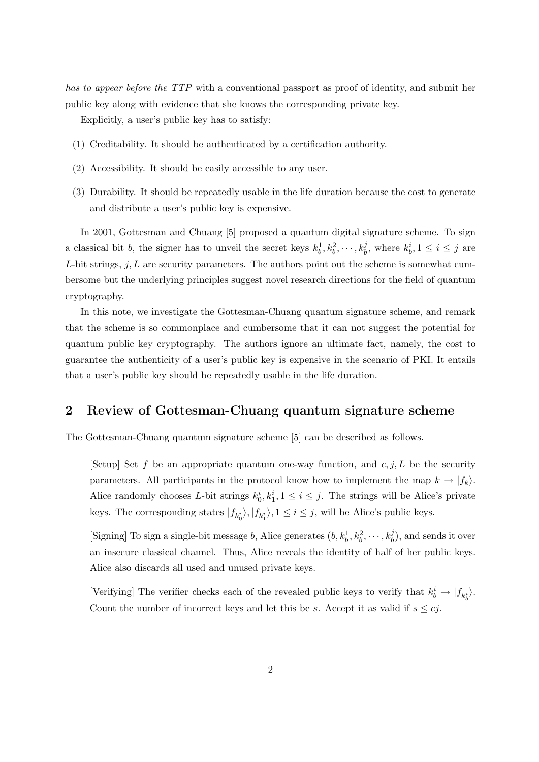has to appear before the TTP with a conventional passport as proof of identity, and submit her public key along with evidence that she knows the corresponding private key.

Explicitly, a user's public key has to satisfy:

- (1) Creditability. It should be authenticated by a certification authority.
- (2) Accessibility. It should be easily accessible to any user.
- (3) Durability. It should be repeatedly usable in the life duration because the cost to generate and distribute a user's public key is expensive.

In 2001, Gottesman and Chuang [5] proposed a quantum digital signature scheme. To sign a classical bit b, the signer has to unveil the secret keys  $k_b^1, k_b^2, \dots, k_b^j$ , where  $k_b^i, 1 \le i \le j$  are L-bit strings,  $j, L$  are security parameters. The authors point out the scheme is somewhat cumbersome but the underlying principles suggest novel research directions for the field of quantum cryptography.

In this note, we investigate the Gottesman-Chuang quantum signature scheme, and remark that the scheme is so commonplace and cumbersome that it can not suggest the potential for quantum public key cryptography. The authors ignore an ultimate fact, namely, the cost to guarantee the authenticity of a user's public key is expensive in the scenario of PKI. It entails that a user's public key should be repeatedly usable in the life duration.

## 2 Review of Gottesman-Chuang quantum signature scheme

The Gottesman-Chuang quantum signature scheme [5] can be described as follows.

[Setup] Set f be an appropriate quantum one-way function, and  $c, j, L$  be the security parameters. All participants in the protocol know how to implement the map  $k \to |f_k\rangle$ . Alice randomly chooses L-bit strings  $k_0^i, k_1^i, 1 \le i \le j$ . The strings will be Alice's private keys. The corresponding states  $|f_{k_0^i}\rangle, |f_{k_1^i}\rangle, 1 \le i \le j$ , will be Alice's public keys.

[Signing] To sign a single-bit message b, Alice generates  $(b, k_b^1, k_b^2, \dots, k_b^j)$ , and sends it over an insecure classical channel. Thus, Alice reveals the identity of half of her public keys. Alice also discards all used and unused private keys.

[Verifying] The verifier checks each of the revealed public keys to verify that  $k_b^i \rightarrow |f_{k_b^i}\rangle$ . Count the number of incorrect keys and let this be s. Accept it as valid if  $s \leq cj$ .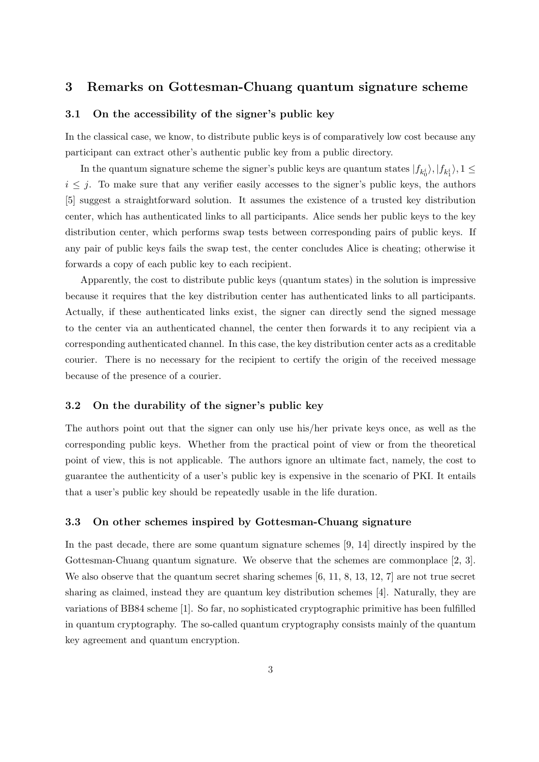# 3 Remarks on Gottesman-Chuang quantum signature scheme

#### 3.1 On the accessibility of the signer's public key

In the classical case, we know, to distribute public keys is of comparatively low cost because any participant can extract other's authentic public key from a public directory.

In the quantum signature scheme the signer's public keys are quantum states  $|f_{k_0^i}\rangle, |f_{k_1^i}\rangle, 1 \leq$  $i \leq j$ . To make sure that any verifier easily accesses to the signer's public keys, the authors [5] suggest a straightforward solution. It assumes the existence of a trusted key distribution center, which has authenticated links to all participants. Alice sends her public keys to the key distribution center, which performs swap tests between corresponding pairs of public keys. If any pair of public keys fails the swap test, the center concludes Alice is cheating; otherwise it forwards a copy of each public key to each recipient.

Apparently, the cost to distribute public keys (quantum states) in the solution is impressive because it requires that the key distribution center has authenticated links to all participants. Actually, if these authenticated links exist, the signer can directly send the signed message to the center via an authenticated channel, the center then forwards it to any recipient via a corresponding authenticated channel. In this case, the key distribution center acts as a creditable courier. There is no necessary for the recipient to certify the origin of the received message because of the presence of a courier.

#### 3.2 On the durability of the signer's public key

The authors point out that the signer can only use his/her private keys once, as well as the corresponding public keys. Whether from the practical point of view or from the theoretical point of view, this is not applicable. The authors ignore an ultimate fact, namely, the cost to guarantee the authenticity of a user's public key is expensive in the scenario of PKI. It entails that a user's public key should be repeatedly usable in the life duration.

#### 3.3 On other schemes inspired by Gottesman-Chuang signature

In the past decade, there are some quantum signature schemes [9, 14] directly inspired by the Gottesman-Chuang quantum signature. We observe that the schemes are commonplace [2, 3]. We also observe that the quantum secret sharing schemes [6, 11, 8, 13, 12, 7] are not true secret sharing as claimed, instead they are quantum key distribution schemes [4]. Naturally, they are variations of BB84 scheme [1]. So far, no sophisticated cryptographic primitive has been fulfilled in quantum cryptography. The so-called quantum cryptography consists mainly of the quantum key agreement and quantum encryption.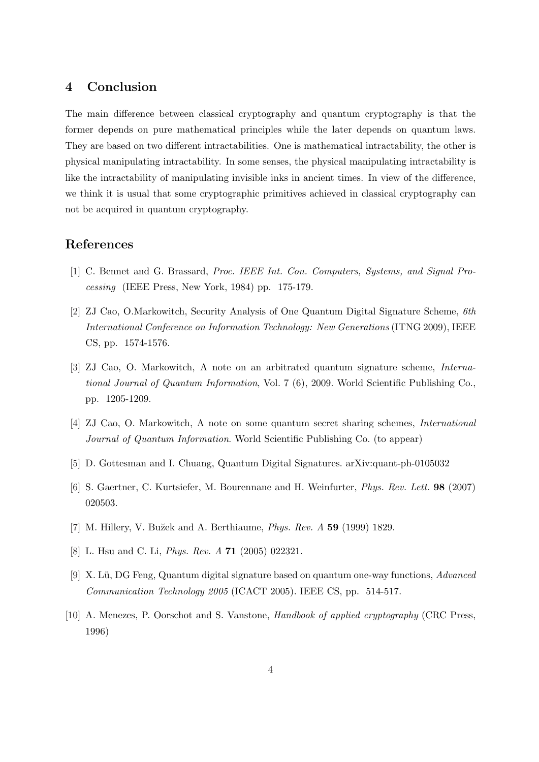# 4 Conclusion

The main difference between classical cryptography and quantum cryptography is that the former depends on pure mathematical principles while the later depends on quantum laws. They are based on two different intractabilities. One is mathematical intractability, the other is physical manipulating intractability. In some senses, the physical manipulating intractability is like the intractability of manipulating invisible inks in ancient times. In view of the difference, we think it is usual that some cryptographic primitives achieved in classical cryptography can not be acquired in quantum cryptography.

## References

- [1] C. Bennet and G. Brassard, Proc. IEEE Int. Con. Computers, Systems, and Signal Processing (IEEE Press, New York, 1984) pp. 175-179.
- [2] ZJ Cao, O.Markowitch, Security Analysis of One Quantum Digital Signature Scheme, 6th International Conference on Information Technology: New Generations (ITNG 2009), IEEE CS, pp. 1574-1576.
- [3] ZJ Cao, O. Markowitch, A note on an arbitrated quantum signature scheme, International Journal of Quantum Information, Vol. 7 (6), 2009. World Scientific Publishing Co., pp. 1205-1209.
- [4] ZJ Cao, O. Markowitch, A note on some quantum secret sharing schemes, International Journal of Quantum Information. World Scientific Publishing Co. (to appear)
- [5] D. Gottesman and I. Chuang, Quantum Digital Signatures. arXiv:quant-ph-0105032
- [6] S. Gaertner, C. Kurtsiefer, M. Bourennane and H. Weinfurter, Phys. Rev. Lett. 98 (2007) 020503.
- [7] M. Hillery, V. Bužek and A. Berthiaume, *Phys. Rev. A* 59 (1999) 1829.
- [8] L. Hsu and C. Li, *Phys. Rev. A* **71** (2005) 022321.
- [9] X. Lü, DG Feng, Quantum digital signature based on quantum one-way functions, Advanced Communication Technology 2005 (ICACT 2005). IEEE CS, pp. 514-517.
- [10] A. Menezes, P. Oorschot and S. Vanstone, Handbook of applied cryptography (CRC Press, 1996)